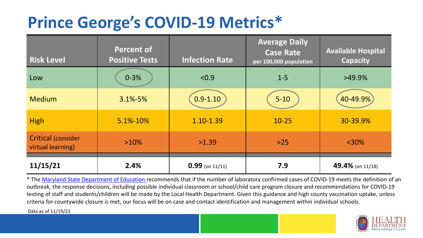## **Prince George's COVID-19 Metrics\***

| <b>Risk Level</b>                       | <b>Percent of</b><br><b>Positive Tests</b> | <b>Infection Rate</b> | <b>Average Daily</b><br><b>Case Rate</b><br>per 100,000 population | <b>Available Hospital</b><br><b>Capacity</b> |
|-----------------------------------------|--------------------------------------------|-----------------------|--------------------------------------------------------------------|----------------------------------------------|
| Low                                     | $0 - 3%$                                   | < 0.9                 | $1 - 5$                                                            | $>49.9\%$                                    |
| <b>Medium</b>                           | $3.1\% - 5\%$                              | $0.9 - 1.10$          | $5 - 10$                                                           | 40-49.9%                                     |
| <b>High</b>                             | 5.1%-10%                                   | 1.10-1.39             | $10 - 25$                                                          | 30-39.9%                                     |
| Critical (consider<br>virtual learning) | $>10\%$                                    | >1.39                 | $>25$                                                              | $<$ 30%                                      |
| 11/15/21                                | 2.4%                                       | $0.99$ (on 11/11)     | 7.9                                                                | 49.4% (on 11/18)                             |

\* The [Maryland State Department of Education r](https://earlychildhood.marylandpublicschools.org/system/files/filedepot/3/covid_guidance_full_080420.pdf)ecommends that if the number of laboratory confirmed cases of COVID-19 meets the definition of an outbreak, the response decisions, including possible individual classroom or school/child care program closure and recommendations for COVID-19 testing of staff and students/children will be made by the Local Health Department. Given this guidance and high county vaccination uptake, unless criteria for countywide closure is met, our focus will be on case and contact identification and management within individual schools.

Data as of 11/19/21

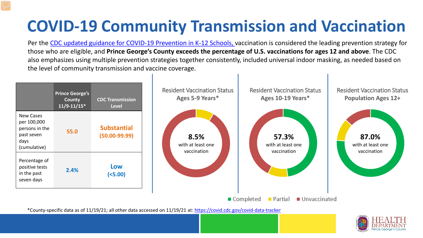# **COVID-19 Community Transmission and Vaccination**

Per the [CDC updated guidance for COVID-19 Prevention in K-12 Schools,](https://www.cdc.gov/coronavirus/2019-ncov/community/schools-childcare/k-12-guidance.html) vaccination is considered the leading prevention strategy for those who are eligible, and **Prince George's County exceeds the percentage of U.S. vaccinations for ages 12 and above**. The CDC also emphasizes using multiple prevention strategies together consistently, included universal indoor masking, as needed based on the level of community transmission and vaccine coverage.



\*County-specific data as of 11/19/21; all other data accessed on 11/19/21 at:<https://covid.cdc.gov/covid-data-tracker>

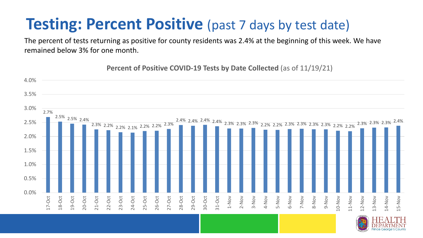### **Testing: Percent Positive** (past 7 days by test date)

The percent of tests returning as positive for county residents was 2.4% at the beginning of this week. We have remained below 3% for one month.

2.7% 2.5% 2.5% 2.4% 2.3% 2.2% 2.2% 2.1% 2.2% 2.2% 2.3% 2.4% 2.4% 2.4% 2.4% 2.3% 2.3% 2.3% 2.2% 2.2% 2.3% 2.3% 2.3% 2.3% 2.2% 2.2% 2.3% 2.3% 2.3% 2.4% 0.0% 0.5% 1.0% 1.5% 2.0% 2.5% 3.0% 3.5% 4.0% 17-Oct 18-Oct 19-Oct 20-Oct 21-Oct 22-Oct 23-Oct 24-Oct 25-Oct 26-Oct 27-Oct 28-Oct 29-Oct 30-Oct 31-Oct 1-Nov 2-Nov 3-Nov 4-Nov 5-Nov 6-Nov 7-Nov 8-Nov 9-Nov 10-Nov 11-Nov 12-Nov 13-Nov 14-Nov 15-Nov

**Percent of Positive COVID-19 Tests by Date Collected** (as of 11/19/21)

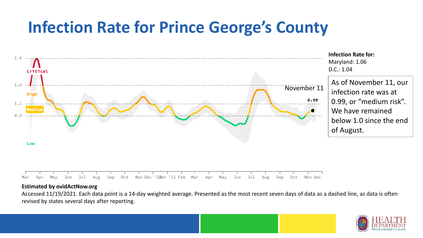## **Infection Rate for Prince George's County**



May Jun Jul Sep Oct Nov Dec '20an '21 Feb Mar Jul Aug May Mar Apr Apr Jun Aug Sep 0ct Nov Dec

#### **Estimated by ovidActNow.org**

Accessed 11/19/2021. Each data point is a 14-day weighted average. Presented as the most recent seven days of data as a dashed line, as data is often revised by states several days after reporting.

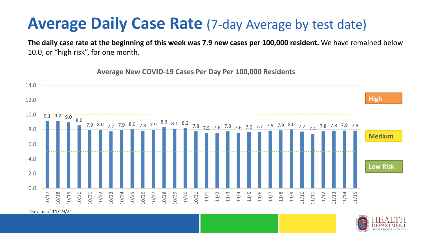### **Average Daily Case Rate** (7-day Average by test date)

**Average New COVID-19 Cases Per Day Per 100,000 Residents**

**The daily case rate at the beginning of this week was 7.9 new cases per 100,000 resident.** We have remained below 10.0, or "high risk", for one month.

 $-9.1 - 9.2 - 9.0$  8.6 7.9 8.0 7.7 7.9 8.0 7.8 7.9 8.3 8.1 8.2 7.8 7.5 7.6 7.8 7.6 7.6 7.7 7.9 7.9 8.0 7.7 7.4 7.8 7.8 7.9 7.9 0.0 2.0 4.0 6.0 8.0 10.0 12.0 14.0 10/17 10/18 10/19 10/20 10/21 10/22 10/23 10/24 10/25 10/26 10/27 10/28 10/29 10/30 10/31 11/1 11/2 11/3 11/4 11/5 11/6 11/7 11/8 11/9 11/10 11/11 11/12 11/13 11/14 11/15 **Low Risk Medium High**

Data as of 11/19/21